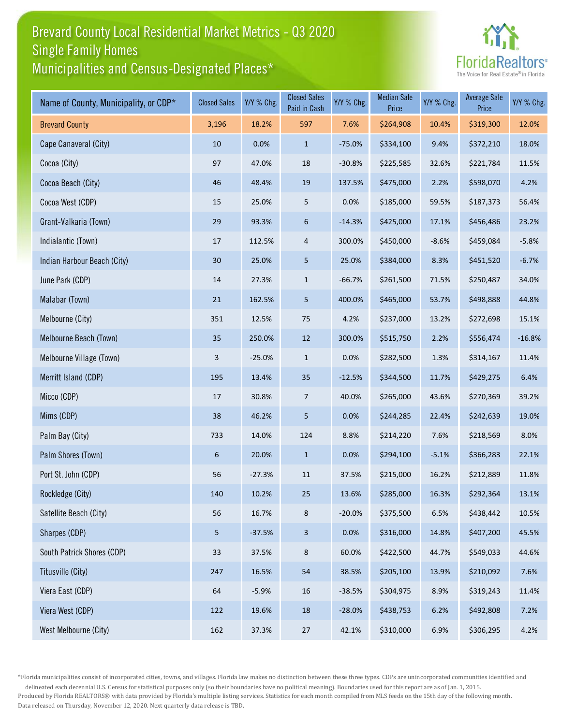## Brevard County Local Residential Market Metrics - Q3 2020 Municipalities and Census-Designated Places\* Single Family Homes



| Name of County, Municipality, or CDP* | <b>Closed Sales</b> | Y/Y % Chg. | <b>Closed Sales</b><br>Paid in Cash | Y/Y % Chg. | <b>Median Sale</b><br>Price | Y/Y % Chg. | <b>Average Sale</b><br>Price | Y/Y % Chg. |
|---------------------------------------|---------------------|------------|-------------------------------------|------------|-----------------------------|------------|------------------------------|------------|
| <b>Brevard County</b>                 | 3,196               | 18.2%      | 597                                 | 7.6%       | \$264,908                   | 10.4%      | \$319,300                    | 12.0%      |
| Cape Canaveral (City)                 | 10                  | 0.0%       | $\mathbf{1}$                        | $-75.0%$   | \$334,100                   | 9.4%       | \$372,210                    | 18.0%      |
| Cocoa (City)                          | 97                  | 47.0%      | 18                                  | $-30.8%$   | \$225,585                   | 32.6%      | \$221,784                    | 11.5%      |
| Cocoa Beach (City)                    | 46                  | 48.4%      | 19                                  | 137.5%     | \$475,000                   | 2.2%       | \$598,070                    | 4.2%       |
| Cocoa West (CDP)                      | 15                  | 25.0%      | 5                                   | 0.0%       | \$185,000                   | 59.5%      | \$187,373                    | 56.4%      |
| Grant-Valkaria (Town)                 | 29                  | 93.3%      | $\boldsymbol{6}$                    | $-14.3%$   | \$425,000                   | 17.1%      | \$456,486                    | 23.2%      |
| Indialantic (Town)                    | 17                  | 112.5%     | $\overline{4}$                      | 300.0%     | \$450,000                   | $-8.6%$    | \$459,084                    | $-5.8%$    |
| Indian Harbour Beach (City)           | $30\,$              | 25.0%      | 5 <sub>5</sub>                      | 25.0%      | \$384,000                   | 8.3%       | \$451,520                    | $-6.7%$    |
| June Park (CDP)                       | 14                  | 27.3%      | $\mathbf{1}$                        | $-66.7%$   | \$261,500                   | 71.5%      | \$250,487                    | 34.0%      |
| Malabar (Town)                        | 21                  | 162.5%     | 5 <sub>5</sub>                      | 400.0%     | \$465,000                   | 53.7%      | \$498,888                    | 44.8%      |
| Melbourne (City)                      | 351                 | 12.5%      | 75                                  | 4.2%       | \$237,000                   | 13.2%      | \$272,698                    | 15.1%      |
| Melbourne Beach (Town)                | 35                  | 250.0%     | 12                                  | 300.0%     | \$515,750                   | 2.2%       | \$556,474                    | $-16.8%$   |
| Melbourne Village (Town)              | 3                   | $-25.0%$   | $\mathbf{1}$                        | 0.0%       | \$282,500                   | 1.3%       | \$314,167                    | 11.4%      |
| Merritt Island (CDP)                  | 195                 | 13.4%      | 35                                  | $-12.5%$   | \$344,500                   | 11.7%      | \$429,275                    | 6.4%       |
| Micco (CDP)                           | 17                  | 30.8%      | $\overline{7}$                      | 40.0%      | \$265,000                   | 43.6%      | \$270,369                    | 39.2%      |
| Mims (CDP)                            | 38                  | 46.2%      | 5 <sub>1</sub>                      | 0.0%       | \$244,285                   | 22.4%      | \$242,639                    | 19.0%      |
| Palm Bay (City)                       | 733                 | 14.0%      | 124                                 | 8.8%       | \$214,220                   | 7.6%       | \$218,569                    | 8.0%       |
| Palm Shores (Town)                    | 6                   | 20.0%      | $\mathbf{1}$                        | 0.0%       | \$294,100                   | $-5.1%$    | \$366,283                    | 22.1%      |
| Port St. John (CDP)                   | 56                  | $-27.3%$   | 11                                  | 37.5%      | \$215,000                   | 16.2%      | \$212,889                    | 11.8%      |
| Rockledge (City)                      | 140                 | 10.2%      | $25\,$                              | 13.6%      | \$285,000                   | 16.3%      | \$292,364                    | 13.1%      |
| Satellite Beach (City)                | 56                  | 16.7%      | $\bf 8$                             | $-20.0%$   | \$375,500                   | 6.5%       | \$438,442                    | 10.5%      |
| Sharpes (CDP)                         | 5 <sub>5</sub>      | $-37.5%$   | $\mathbf{3}$                        | 0.0%       | \$316,000                   | 14.8%      | \$407,200                    | 45.5%      |
| South Patrick Shores (CDP)            | 33                  | 37.5%      | $\,8\,$                             | 60.0%      | \$422,500                   | 44.7%      | \$549,033                    | 44.6%      |
| Titusville (City)                     | 247                 | 16.5%      | 54                                  | 38.5%      | \$205,100                   | 13.9%      | \$210,092                    | 7.6%       |
| Viera East (CDP)                      | 64                  | $-5.9%$    | $16\,$                              | $-38.5%$   | \$304,975                   | 8.9%       | \$319,243                    | 11.4%      |
| Viera West (CDP)                      | 122                 | 19.6%      | 18                                  | $-28.0%$   | \$438,753                   | 6.2%       | \$492,808                    | 7.2%       |
| West Melbourne (City)                 | 162                 | 37.3%      | 27                                  | 42.1%      | \$310,000                   | 6.9%       | \$306,295                    | 4.2%       |

\*Florida municipalities consist of incorporated cities, towns, and villages. Florida law makes no distinction between these three types. CDPs are unincorporated communities identified and delineated each decennial U.S. Census for statistical purposes only (so their boundaries have no political meaning). Boundaries used for this report are as of Jan. 1, 2015.

Produced by Florida REALTORS® with data provided by Florida's multiple listing services. Statistics for each month compiled from MLS feeds on the 15th day of the following month. Data released on Thursday, November 12, 2020. Next quarterly data release is TBD.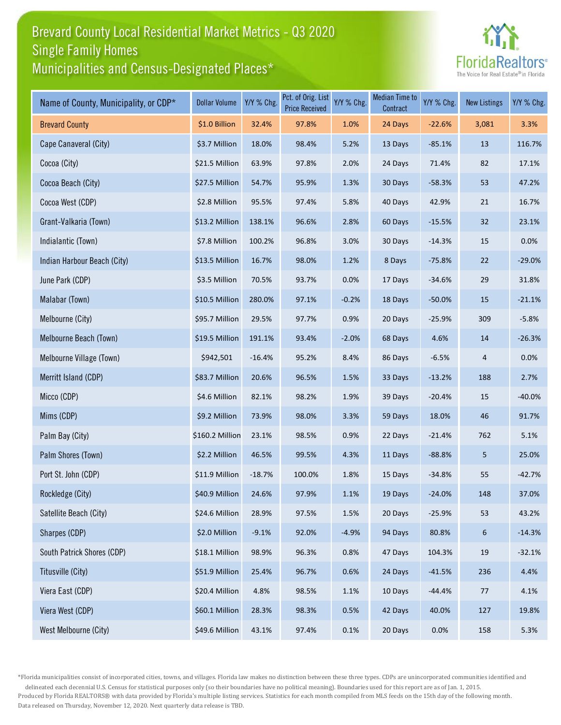## Brevard County Local Residential Market Metrics - Q3 2020 Municipalities and Census-Designated Places\* Single Family Homes



| Name of County, Municipality, or CDP* | <b>Dollar Volume</b> | Y/Y % Chg. | Pct. of Orig. List<br><b>Price Received</b> | Y/Y % Chg. | <b>Median Time to</b><br>Contract | Y/Y % Chg. | <b>New Listings</b> | Y/Y % Chg. |
|---------------------------------------|----------------------|------------|---------------------------------------------|------------|-----------------------------------|------------|---------------------|------------|
| <b>Brevard County</b>                 | \$1.0 Billion        | 32.4%      | 97.8%                                       | 1.0%       | 24 Days                           | $-22.6%$   | 3,081               | 3.3%       |
| Cape Canaveral (City)                 | \$3.7 Million        | 18.0%      | 98.4%                                       | 5.2%       | 13 Days                           | $-85.1%$   | 13                  | 116.7%     |
| Cocoa (City)                          | \$21.5 Million       | 63.9%      | 97.8%                                       | 2.0%       | 24 Days                           | 71.4%      | 82                  | 17.1%      |
| Cocoa Beach (City)                    | \$27.5 Million       | 54.7%      | 95.9%                                       | 1.3%       | 30 Days                           | $-58.3%$   | 53                  | 47.2%      |
| Cocoa West (CDP)                      | \$2.8 Million        | 95.5%      | 97.4%                                       | 5.8%       | 40 Days                           | 42.9%      | 21                  | 16.7%      |
| Grant-Valkaria (Town)                 | \$13.2 Million       | 138.1%     | 96.6%                                       | 2.8%       | 60 Days                           | $-15.5%$   | 32                  | 23.1%      |
| Indialantic (Town)                    | \$7.8 Million        | 100.2%     | 96.8%                                       | 3.0%       | 30 Days                           | $-14.3%$   | 15                  | 0.0%       |
| Indian Harbour Beach (City)           | \$13.5 Million       | 16.7%      | 98.0%                                       | 1.2%       | 8 Days                            | $-75.8%$   | 22                  | $-29.0%$   |
| June Park (CDP)                       | \$3.5 Million        | 70.5%      | 93.7%                                       | 0.0%       | 17 Days                           | $-34.6%$   | 29                  | 31.8%      |
| Malabar (Town)                        | \$10.5 Million       | 280.0%     | 97.1%                                       | $-0.2%$    | 18 Days                           | $-50.0%$   | 15                  | $-21.1%$   |
| Melbourne (City)                      | \$95.7 Million       | 29.5%      | 97.7%                                       | 0.9%       | 20 Days                           | $-25.9%$   | 309                 | $-5.8%$    |
| Melbourne Beach (Town)                | \$19.5 Million       | 191.1%     | 93.4%                                       | $-2.0%$    | 68 Days                           | 4.6%       | 14                  | $-26.3%$   |
| Melbourne Village (Town)              | \$942,501            | $-16.4%$   | 95.2%                                       | 8.4%       | 86 Days                           | $-6.5%$    | 4                   | 0.0%       |
| Merritt Island (CDP)                  | \$83.7 Million       | 20.6%      | 96.5%                                       | 1.5%       | 33 Days                           | $-13.2%$   | 188                 | 2.7%       |
| Micco (CDP)                           | \$4.6 Million        | 82.1%      | 98.2%                                       | 1.9%       | 39 Days                           | $-20.4%$   | 15                  | $-40.0%$   |
| Mims (CDP)                            | \$9.2 Million        | 73.9%      | 98.0%                                       | 3.3%       | 59 Days                           | 18.0%      | 46                  | 91.7%      |
| Palm Bay (City)                       | \$160.2 Million      | 23.1%      | 98.5%                                       | 0.9%       | 22 Days                           | $-21.4%$   | 762                 | 5.1%       |
| Palm Shores (Town)                    | \$2.2 Million        | 46.5%      | 99.5%                                       | 4.3%       | 11 Days                           | $-88.8%$   | 5                   | 25.0%      |
| Port St. John (CDP)                   | \$11.9 Million       | $-18.7%$   | 100.0%                                      | 1.8%       | 15 Days                           | $-34.8%$   | 55                  | $-42.7%$   |
| Rockledge (City)                      | \$40.9 Million       | 24.6%      | 97.9%                                       | 1.1%       | 19 Days                           | $-24.0%$   | 148                 | 37.0%      |
| Satellite Beach (City)                | \$24.6 Million       | 28.9%      | 97.5%                                       | 1.5%       | 20 Days                           | $-25.9%$   | 53                  | 43.2%      |
| Sharpes (CDP)                         | \$2.0 Million        | $-9.1%$    | 92.0%                                       | $-4.9%$    | 94 Days                           | 80.8%      | 6                   | $-14.3%$   |
| South Patrick Shores (CDP)            | \$18.1 Million       | 98.9%      | 96.3%                                       | 0.8%       | 47 Days                           | 104.3%     | 19                  | $-32.1%$   |
| Titusville (City)                     | \$51.9 Million       | 25.4%      | 96.7%                                       | 0.6%       | 24 Days                           | $-41.5%$   | 236                 | 4.4%       |
| Viera East (CDP)                      | \$20.4 Million       | 4.8%       | 98.5%                                       | 1.1%       | 10 Days                           | $-44.4%$   | $77\,$              | 4.1%       |
| Viera West (CDP)                      | \$60.1 Million       | 28.3%      | 98.3%                                       | 0.5%       | 42 Days                           | 40.0%      | 127                 | 19.8%      |
| West Melbourne (City)                 | \$49.6 Million       | 43.1%      | 97.4%                                       | 0.1%       | 20 Days                           | 0.0%       | 158                 | 5.3%       |

\*Florida municipalities consist of incorporated cities, towns, and villages. Florida law makes no distinction between these three types. CDPs are unincorporated communities identified and delineated each decennial U.S. Census for statistical purposes only (so their boundaries have no political meaning). Boundaries used for this report are as of Jan. 1, 2015.

Produced by Florida REALTORS® with data provided by Florida's multiple listing services. Statistics for each month compiled from MLS feeds on the 15th day of the following month. Data released on Thursday, November 12, 2020. Next quarterly data release is TBD.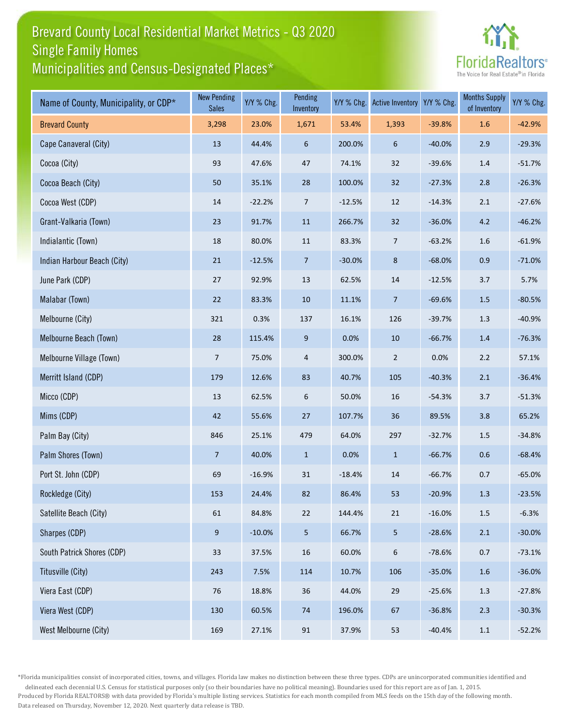## Brevard County Local Residential Market Metrics - Q3 2020 Municipalities and Census-Designated Places\* Single Family Homes



| Name of County, Municipality, or CDP* | <b>New Pending</b><br><b>Sales</b> | Y/Y % Chg. | Pending<br>Inventory | Y/Y % Chg. | Active Inventory | Y/Y % Chg. | <b>Months Supply</b><br>of Inventory | Y/Y % Chg. |
|---------------------------------------|------------------------------------|------------|----------------------|------------|------------------|------------|--------------------------------------|------------|
| <b>Brevard County</b>                 | 3,298                              | 23.0%      | 1,671                | 53.4%      | 1,393            | $-39.8%$   | 1.6                                  | $-42.9%$   |
| Cape Canaveral (City)                 | 13                                 | 44.4%      | $\sqrt{6}$           | 200.0%     | 6                | $-40.0%$   | 2.9                                  | $-29.3%$   |
| Cocoa (City)                          | 93                                 | 47.6%      | 47                   | 74.1%      | 32               | $-39.6%$   | 1.4                                  | $-51.7%$   |
| Cocoa Beach (City)                    | 50                                 | 35.1%      | 28                   | 100.0%     | 32               | $-27.3%$   | 2.8                                  | $-26.3%$   |
| Cocoa West (CDP)                      | 14                                 | $-22.2%$   | $\overline{7}$       | $-12.5%$   | 12               | $-14.3%$   | 2.1                                  | $-27.6%$   |
| Grant-Valkaria (Town)                 | 23                                 | 91.7%      | $11\,$               | 266.7%     | 32               | $-36.0%$   | 4.2                                  | $-46.2%$   |
| Indialantic (Town)                    | 18                                 | 80.0%      | $11\,$               | 83.3%      | $\overline{7}$   | $-63.2%$   | $1.6\,$                              | $-61.9%$   |
| Indian Harbour Beach (City)           | 21                                 | $-12.5%$   | $\overline{7}$       | $-30.0%$   | $\bf 8$          | $-68.0%$   | 0.9                                  | $-71.0%$   |
| June Park (CDP)                       | 27                                 | 92.9%      | $13\,$               | 62.5%      | 14               | $-12.5%$   | 3.7                                  | 5.7%       |
| Malabar (Town)                        | 22                                 | 83.3%      | $10\,$               | 11.1%      | $\overline{7}$   | $-69.6%$   | $1.5\,$                              | $-80.5%$   |
| Melbourne (City)                      | 321                                | 0.3%       | 137                  | 16.1%      | 126              | $-39.7%$   | $1.3$                                | $-40.9%$   |
| Melbourne Beach (Town)                | 28                                 | 115.4%     | $9\,$                | 0.0%       | 10               | $-66.7%$   | $1.4\,$                              | $-76.3%$   |
| Melbourne Village (Town)              | $\overline{7}$                     | 75.0%      | $\overline{4}$       | 300.0%     | $\overline{2}$   | 0.0%       | $2.2$                                | 57.1%      |
| Merritt Island (CDP)                  | 179                                | 12.6%      | 83                   | 40.7%      | 105              | $-40.3%$   | $2.1\,$                              | $-36.4%$   |
| Micco (CDP)                           | 13                                 | 62.5%      | 6                    | 50.0%      | 16               | $-54.3%$   | 3.7                                  | $-51.3%$   |
| Mims (CDP)                            | 42                                 | 55.6%      | 27                   | 107.7%     | 36               | 89.5%      | 3.8                                  | 65.2%      |
| Palm Bay (City)                       | 846                                | 25.1%      | 479                  | 64.0%      | 297              | $-32.7%$   | $1.5\,$                              | $-34.8%$   |
| Palm Shores (Town)                    | $\overline{7}$                     | 40.0%      | $\mathbf{1}$         | 0.0%       | $\mathbf{1}$     | $-66.7%$   | 0.6                                  | $-68.4%$   |
| Port St. John (CDP)                   | 69                                 | $-16.9%$   | 31                   | $-18.4%$   | 14               | $-66.7%$   | 0.7                                  | $-65.0%$   |
| Rockledge (City)                      | 153                                | 24.4%      | 82                   | 86.4%      | 53               | $-20.9%$   | $1.3$                                | $-23.5%$   |
| Satellite Beach (City)                | 61                                 | 84.8%      | 22                   | 144.4%     | 21               | $-16.0%$   | $1.5\,$                              | $-6.3%$    |
| Sharpes (CDP)                         | 9                                  | $-10.0%$   | 5 <sub>5</sub>       | 66.7%      | 5 <sub>5</sub>   | $-28.6%$   | $2.1\,$                              | $-30.0%$   |
| South Patrick Shores (CDP)            | 33                                 | 37.5%      | $16\,$               | 60.0%      | 6                | $-78.6%$   | 0.7                                  | $-73.1%$   |
| Titusville (City)                     | 243                                | 7.5%       | 114                  | 10.7%      | 106              | $-35.0%$   | $1.6\,$                              | $-36.0%$   |
| Viera East (CDP)                      | 76                                 | 18.8%      | 36                   | 44.0%      | 29               | $-25.6%$   | $1.3\,$                              | $-27.8%$   |
| Viera West (CDP)                      | 130                                | 60.5%      | $74$                 | 196.0%     | 67               | $-36.8%$   | 2.3                                  | $-30.3%$   |
| West Melbourne (City)                 | 169                                | 27.1%      | $91\,$               | 37.9%      | 53               | $-40.4%$   | $1.1\,$                              | $-52.2%$   |

\*Florida municipalities consist of incorporated cities, towns, and villages. Florida law makes no distinction between these three types. CDPs are unincorporated communities identified and delineated each decennial U.S. Census for statistical purposes only (so their boundaries have no political meaning). Boundaries used for this report are as of Jan. 1, 2015.

Produced by Florida REALTORS® with data provided by Florida's multiple listing services. Statistics for each month compiled from MLS feeds on the 15th day of the following month. Data released on Thursday, November 12, 2020. Next quarterly data release is TBD.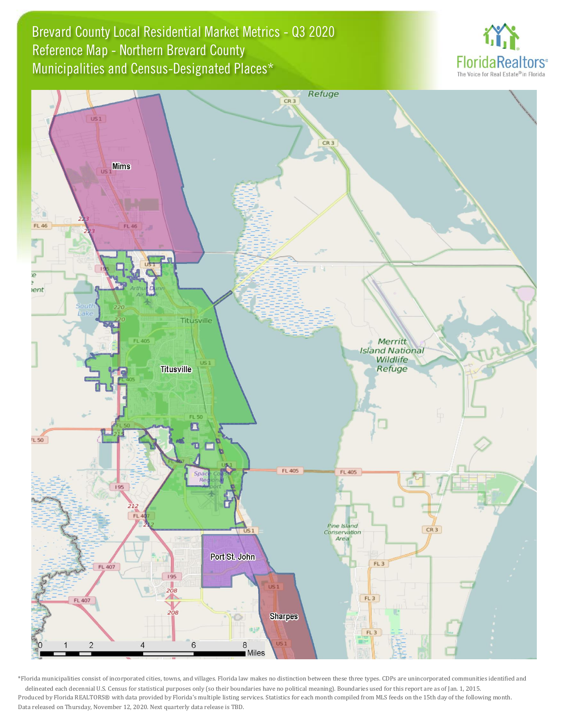Brevard County Local Residential Market Metrics - Q3 2020 Municipalities and Census-Designated Places\* Reference Map - Northern Brevard County





\*Florida municipalities consist of incorporated cities, towns, and villages. Florida law makes no distinction between these three types. CDPs are unincorporated communities identified and delineated each decennial U.S. Census for statistical purposes only (so their boundaries have no political meaning). Boundaries used for this report are as of Jan. 1, 2015. Produced by Florida REALTORS® with data provided by Florida's multiple listing services. Statistics for each month compiled from MLS feeds on the 15th day of the following month. Data released on Thursday, November 12, 2020. Next quarterly data release is TBD.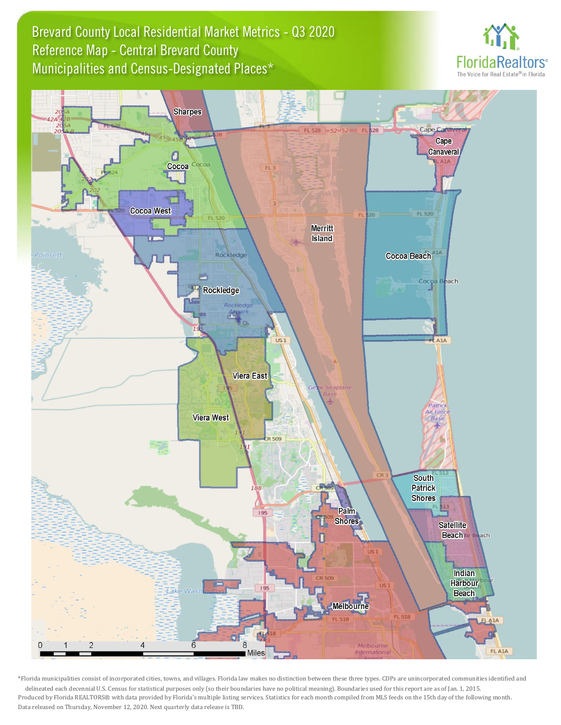Brevard County Local Residential Market Metrics - Q3 2020 Municipalities and Census-Designated Places\* Reference Map - Central Brevard County





\*Florida municipalities consist of incorporated cities, towns, and villages. Florida law makes no distinction between these three types. CDPs are unincorporated communities identified and delineated each decennial U.S. Census for statistical purposes only (so their boundaries have no political meaning). Boundaries used for this report are as of Jan. 1, 2015. Produced by Florida REALTORS® with data provided by Florida's multiple listing services. Statistics for each month compiled from MLS feeds on the 15th day of the following month. Data released on Thursday, November 12, 2020. Next quarterly data release is TBD.